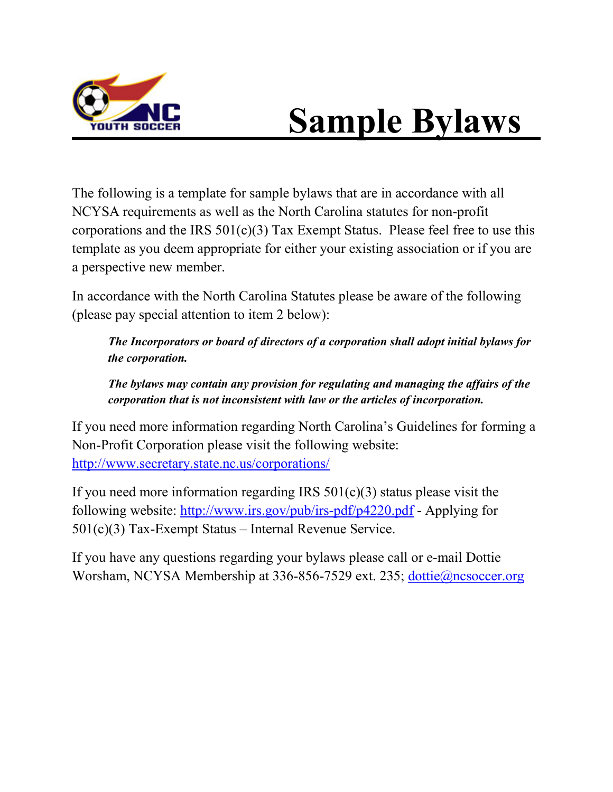

# **Sample Bylaws**

The following is a template for sample bylaws that are in accordance with all NCYSA requirements as well as the North Carolina statutes for non-profit corporations and the IRS  $501(c)(3)$  Tax Exempt Status. Please feel free to use this template as you deem appropriate for either your existing association or if you are a perspective new member.

In accordance with the North Carolina Statutes please be aware of the following (please pay special attention to item 2 below):

*The Incorporators or board of directors of a corporation shall adopt initial bylaws for the corporation.*

*The bylaws may contain any provision for regulating and managing the affairs of the corporation that is not inconsistent with law or the articles of incorporation.*

If you need more information regarding North Carolina's Guidelines for forming a Non-Profit Corporation please visit the following website: <http://www.secretary.state.nc.us/corporations/>

If you need more information regarding IRS  $501(c)(3)$  status please visit the following website:<http://www.irs.gov/pub/irs-pdf/p4220.pdf> - Applying for 501(c)(3) Tax-Exempt Status – Internal Revenue Service.

If you have any questions regarding your bylaws please call or e-mail Dottie Worsham, NCYSA Membership at 336-856-7529 ext. 235; [dottie@ncsoccer.org](mailto:dottie@ncsoccer.org)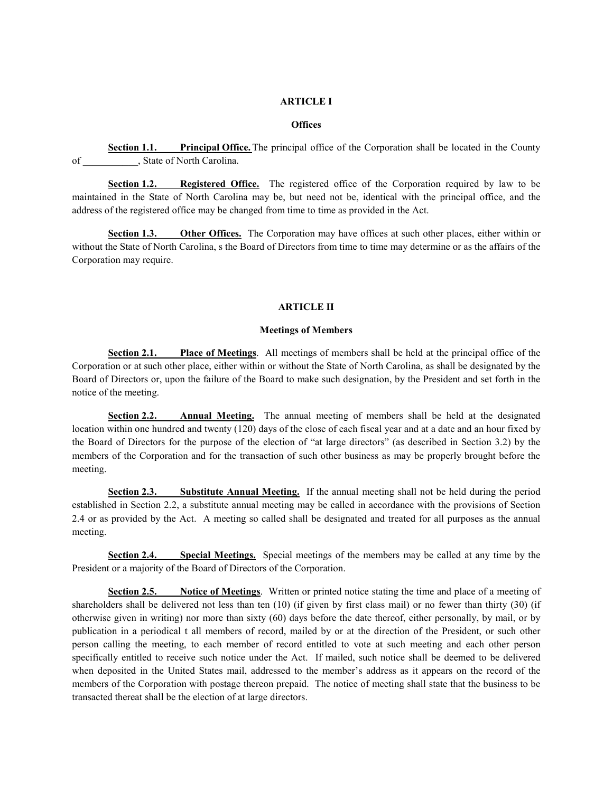### **ARTICLE I**

#### **Offices**

**Section 1.1. Principal Office.** The principal office of the Corporation shall be located in the County of \_\_\_\_\_\_\_\_\_\_\_, State of North Carolina.

**Section 1.2. Registered Office.** The registered office of the Corporation required by law to be maintained in the State of North Carolina may be, but need not be, identical with the principal office, and the address of the registered office may be changed from time to time as provided in the Act.

**Section 1.3. Other Offices.** The Corporation may have offices at such other places, either within or without the State of North Carolina, s the Board of Directors from time to time may determine or as the affairs of the Corporation may require.

#### **ARTICLE II**

### **Meetings of Members**

**Section 2.1. Place of Meetings**. All meetings of members shall be held at the principal office of the Corporation or at such other place, either within or without the State of North Carolina, as shall be designated by the Board of Directors or, upon the failure of the Board to make such designation, by the President and set forth in the notice of the meeting.

**Section 2.2. Annual Meeting.** The annual meeting of members shall be held at the designated location within one hundred and twenty (120) days of the close of each fiscal year and at a date and an hour fixed by the Board of Directors for the purpose of the election of "at large directors" (as described in Section 3.2) by the members of the Corporation and for the transaction of such other business as may be properly brought before the meeting.

**Section 2.3. Substitute Annual Meeting.** If the annual meeting shall not be held during the period established in Section 2.2, a substitute annual meeting may be called in accordance with the provisions of Section 2.4 or as provided by the Act. A meeting so called shall be designated and treated for all purposes as the annual meeting.

**Section 2.4. Special Meetings.** Special meetings of the members may be called at any time by the President or a majority of the Board of Directors of the Corporation.

**Section 2.5. Notice of Meetings**. Written or printed notice stating the time and place of a meeting of shareholders shall be delivered not less than ten (10) (if given by first class mail) or no fewer than thirty (30) (if otherwise given in writing) nor more than sixty (60) days before the date thereof, either personally, by mail, or by publication in a periodical t all members of record, mailed by or at the direction of the President, or such other person calling the meeting, to each member of record entitled to vote at such meeting and each other person specifically entitled to receive such notice under the Act. If mailed, such notice shall be deemed to be delivered when deposited in the United States mail, addressed to the member's address as it appears on the record of the members of the Corporation with postage thereon prepaid. The notice of meeting shall state that the business to be transacted thereat shall be the election of at large directors.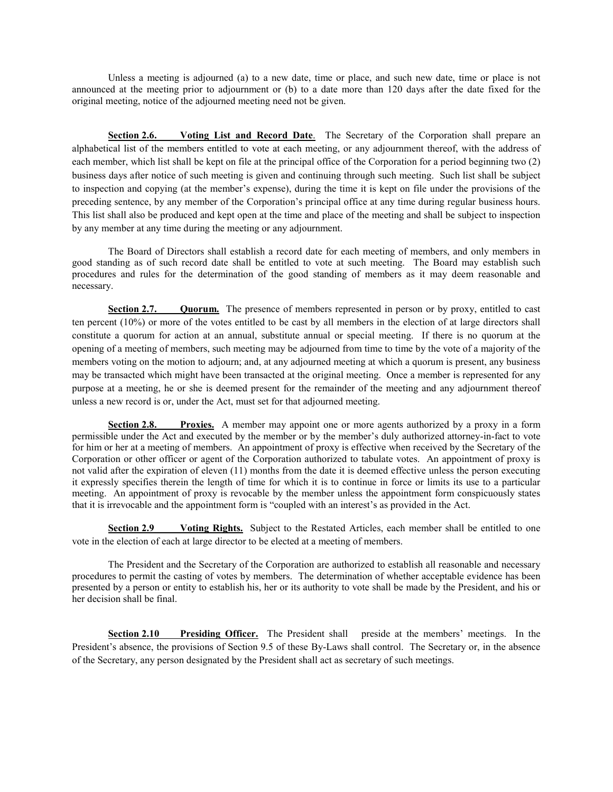Unless a meeting is adjourned (a) to a new date, time or place, and such new date, time or place is not announced at the meeting prior to adjournment or (b) to a date more than 120 days after the date fixed for the original meeting, notice of the adjourned meeting need not be given.

**Section 2.6. Voting List and Record Date**. The Secretary of the Corporation shall prepare an alphabetical list of the members entitled to vote at each meeting, or any adjournment thereof, with the address of each member, which list shall be kept on file at the principal office of the Corporation for a period beginning two (2) business days after notice of such meeting is given and continuing through such meeting. Such list shall be subject to inspection and copying (at the member's expense), during the time it is kept on file under the provisions of the preceding sentence, by any member of the Corporation's principal office at any time during regular business hours. This list shall also be produced and kept open at the time and place of the meeting and shall be subject to inspection by any member at any time during the meeting or any adjournment.

The Board of Directors shall establish a record date for each meeting of members, and only members in good standing as of such record date shall be entitled to vote at such meeting. The Board may establish such procedures and rules for the determination of the good standing of members as it may deem reasonable and necessary.

**Section 2.7. Quorum.** The presence of members represented in person or by proxy, entitled to cast ten percent (10%) or more of the votes entitled to be cast by all members in the election of at large directors shall constitute a quorum for action at an annual, substitute annual or special meeting. If there is no quorum at the opening of a meeting of members, such meeting may be adjourned from time to time by the vote of a majority of the members voting on the motion to adjourn; and, at any adjourned meeting at which a quorum is present, any business may be transacted which might have been transacted at the original meeting. Once a member is represented for any purpose at a meeting, he or she is deemed present for the remainder of the meeting and any adjournment thereof unless a new record is or, under the Act, must set for that adjourned meeting.

**Section 2.8. Proxies.** A member may appoint one or more agents authorized by a proxy in a form permissible under the Act and executed by the member or by the member's duly authorized attorney-in-fact to vote for him or her at a meeting of members. An appointment of proxy is effective when received by the Secretary of the Corporation or other officer or agent of the Corporation authorized to tabulate votes. An appointment of proxy is not valid after the expiration of eleven (11) months from the date it is deemed effective unless the person executing it expressly specifies therein the length of time for which it is to continue in force or limits its use to a particular meeting. An appointment of proxy is revocable by the member unless the appointment form conspicuously states that it is irrevocable and the appointment form is "coupled with an interest's as provided in the Act.

**Section 2.9 Voting Rights.** Subject to the Restated Articles, each member shall be entitled to one vote in the election of each at large director to be elected at a meeting of members.

The President and the Secretary of the Corporation are authorized to establish all reasonable and necessary procedures to permit the casting of votes by members. The determination of whether acceptable evidence has been presented by a person or entity to establish his, her or its authority to vote shall be made by the President, and his or her decision shall be final.

**Section 2.10 Presiding Officer.** The President shall preside at the members' meetings. In the President's absence, the provisions of Section 9.5 of these By-Laws shall control. The Secretary or, in the absence of the Secretary, any person designated by the President shall act as secretary of such meetings.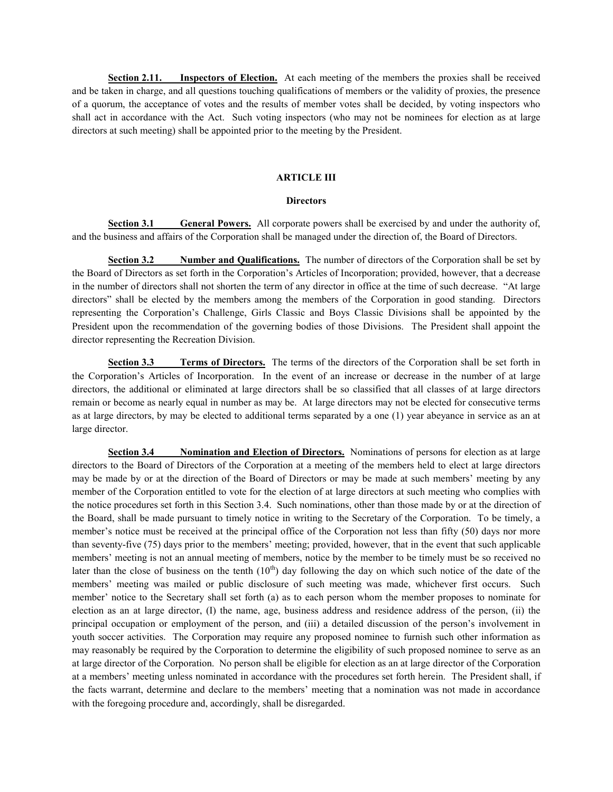**Section 2.11. Inspectors of Election.** At each meeting of the members the proxies shall be received and be taken in charge, and all questions touching qualifications of members or the validity of proxies, the presence of a quorum, the acceptance of votes and the results of member votes shall be decided, by voting inspectors who shall act in accordance with the Act. Such voting inspectors (who may not be nominees for election as at large directors at such meeting) shall be appointed prior to the meeting by the President.

#### **ARTICLE III**

#### **Directors**

**Section 3.1 General Powers.** All corporate powers shall be exercised by and under the authority of, and the business and affairs of the Corporation shall be managed under the direction of, the Board of Directors.

**Section 3.2 Number and Qualifications.** The number of directors of the Corporation shall be set by the Board of Directors as set forth in the Corporation's Articles of Incorporation; provided, however, that a decrease in the number of directors shall not shorten the term of any director in office at the time of such decrease. "At large directors" shall be elected by the members among the members of the Corporation in good standing. Directors representing the Corporation's Challenge, Girls Classic and Boys Classic Divisions shall be appointed by the President upon the recommendation of the governing bodies of those Divisions. The President shall appoint the director representing the Recreation Division.

**Section 3.3 Terms of Directors.** The terms of the directors of the Corporation shall be set forth in the Corporation's Articles of Incorporation. In the event of an increase or decrease in the number of at large directors, the additional or eliminated at large directors shall be so classified that all classes of at large directors remain or become as nearly equal in number as may be. At large directors may not be elected for consecutive terms as at large directors, by may be elected to additional terms separated by a one (1) year abeyance in service as an at large director.

**Section 3.4 Nomination and Election of Directors.** Nominations of persons for election as at large directors to the Board of Directors of the Corporation at a meeting of the members held to elect at large directors may be made by or at the direction of the Board of Directors or may be made at such members' meeting by any member of the Corporation entitled to vote for the election of at large directors at such meeting who complies with the notice procedures set forth in this Section 3.4. Such nominations, other than those made by or at the direction of the Board, shall be made pursuant to timely notice in writing to the Secretary of the Corporation. To be timely, a member's notice must be received at the principal office of the Corporation not less than fifty (50) days nor more than seventy-five (75) days prior to the members' meeting; provided, however, that in the event that such applicable members' meeting is not an annual meeting of members, notice by the member to be timely must be so received no later than the close of business on the tenth  $(10<sup>th</sup>)$  day following the day on which such notice of the date of the members' meeting was mailed or public disclosure of such meeting was made, whichever first occurs. Such member' notice to the Secretary shall set forth (a) as to each person whom the member proposes to nominate for election as an at large director, (I) the name, age, business address and residence address of the person, (ii) the principal occupation or employment of the person, and (iii) a detailed discussion of the person's involvement in youth soccer activities. The Corporation may require any proposed nominee to furnish such other information as may reasonably be required by the Corporation to determine the eligibility of such proposed nominee to serve as an at large director of the Corporation. No person shall be eligible for election as an at large director of the Corporation at a members' meeting unless nominated in accordance with the procedures set forth herein. The President shall, if the facts warrant, determine and declare to the members' meeting that a nomination was not made in accordance with the foregoing procedure and, accordingly, shall be disregarded.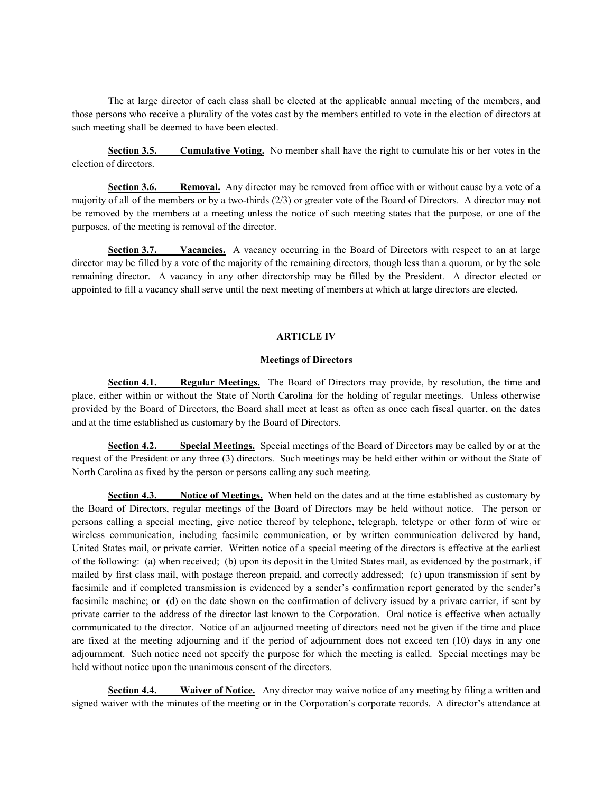The at large director of each class shall be elected at the applicable annual meeting of the members, and those persons who receive a plurality of the votes cast by the members entitled to vote in the election of directors at such meeting shall be deemed to have been elected.

**Section 3.5. Cumulative Voting.** No member shall have the right to cumulate his or her votes in the election of directors.

**Section 3.6. Removal.** Any director may be removed from office with or without cause by a vote of a majority of all of the members or by a two-thirds (2/3) or greater vote of the Board of Directors. A director may not be removed by the members at a meeting unless the notice of such meeting states that the purpose, or one of the purposes, of the meeting is removal of the director.

**Section 3.7. Vacancies.** A vacancy occurring in the Board of Directors with respect to an at large director may be filled by a vote of the majority of the remaining directors, though less than a quorum, or by the sole remaining director. A vacancy in any other directorship may be filled by the President. A director elected or appointed to fill a vacancy shall serve until the next meeting of members at which at large directors are elected.

# **ARTICLE IV**

#### **Meetings of Directors**

**Section 4.1. Regular Meetings.** The Board of Directors may provide, by resolution, the time and place, either within or without the State of North Carolina for the holding of regular meetings. Unless otherwise provided by the Board of Directors, the Board shall meet at least as often as once each fiscal quarter, on the dates and at the time established as customary by the Board of Directors.

**Section 4.2. Special Meetings.** Special meetings of the Board of Directors may be called by or at the request of the President or any three (3) directors. Such meetings may be held either within or without the State of North Carolina as fixed by the person or persons calling any such meeting.

**Section 4.3. Notice of Meetings.** When held on the dates and at the time established as customary by the Board of Directors, regular meetings of the Board of Directors may be held without notice. The person or persons calling a special meeting, give notice thereof by telephone, telegraph, teletype or other form of wire or wireless communication, including facsimile communication, or by written communication delivered by hand, United States mail, or private carrier. Written notice of a special meeting of the directors is effective at the earliest of the following: (a) when received; (b) upon its deposit in the United States mail, as evidenced by the postmark, if mailed by first class mail, with postage thereon prepaid, and correctly addressed; (c) upon transmission if sent by facsimile and if completed transmission is evidenced by a sender's confirmation report generated by the sender's facsimile machine; or (d) on the date shown on the confirmation of delivery issued by a private carrier, if sent by private carrier to the address of the director last known to the Corporation. Oral notice is effective when actually communicated to the director. Notice of an adjourned meeting of directors need not be given if the time and place are fixed at the meeting adjourning and if the period of adjournment does not exceed ten (10) days in any one adjournment. Such notice need not specify the purpose for which the meeting is called. Special meetings may be held without notice upon the unanimous consent of the directors.

**Section 4.4. Waiver of Notice.** Any director may waive notice of any meeting by filing a written and signed waiver with the minutes of the meeting or in the Corporation's corporate records. A director's attendance at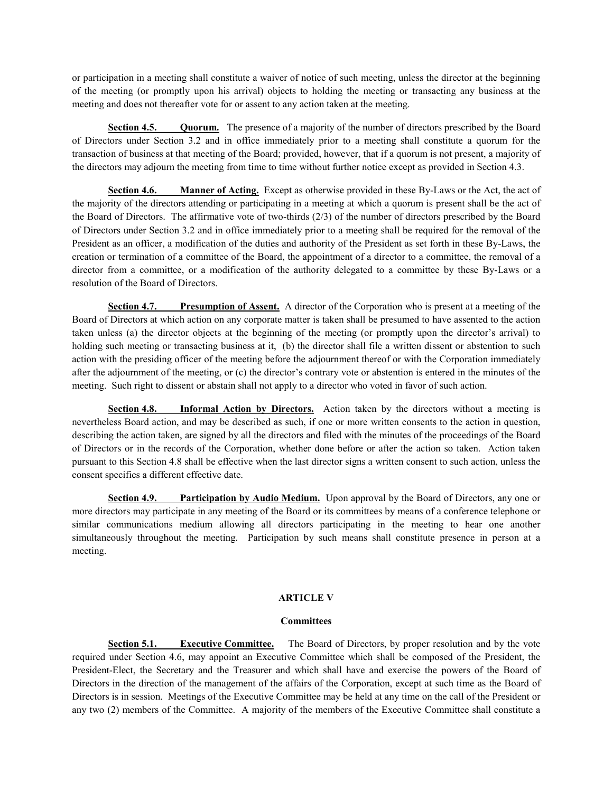or participation in a meeting shall constitute a waiver of notice of such meeting, unless the director at the beginning of the meeting (or promptly upon his arrival) objects to holding the meeting or transacting any business at the meeting and does not thereafter vote for or assent to any action taken at the meeting.

**Section 4.5. Quorum.** The presence of a majority of the number of directors prescribed by the Board of Directors under Section 3.2 and in office immediately prior to a meeting shall constitute a quorum for the transaction of business at that meeting of the Board; provided, however, that if a quorum is not present, a majority of the directors may adjourn the meeting from time to time without further notice except as provided in Section 4.3.

**Section 4.6. Manner of Acting.** Except as otherwise provided in these By-Laws or the Act, the act of the majority of the directors attending or participating in a meeting at which a quorum is present shall be the act of the Board of Directors. The affirmative vote of two-thirds (2/3) of the number of directors prescribed by the Board of Directors under Section 3.2 and in office immediately prior to a meeting shall be required for the removal of the President as an officer, a modification of the duties and authority of the President as set forth in these By-Laws, the creation or termination of a committee of the Board, the appointment of a director to a committee, the removal of a director from a committee, or a modification of the authority delegated to a committee by these By-Laws or a resolution of the Board of Directors.

**Section 4.7. Presumption of Assent.** A director of the Corporation who is present at a meeting of the Board of Directors at which action on any corporate matter is taken shall be presumed to have assented to the action taken unless (a) the director objects at the beginning of the meeting (or promptly upon the director's arrival) to holding such meeting or transacting business at it, (b) the director shall file a written dissent or abstention to such action with the presiding officer of the meeting before the adjournment thereof or with the Corporation immediately after the adjournment of the meeting, or (c) the director's contrary vote or abstention is entered in the minutes of the meeting. Such right to dissent or abstain shall not apply to a director who voted in favor of such action.

**Section 4.8. Informal Action by Directors.** Action taken by the directors without a meeting is nevertheless Board action, and may be described as such, if one or more written consents to the action in question, describing the action taken, are signed by all the directors and filed with the minutes of the proceedings of the Board of Directors or in the records of the Corporation, whether done before or after the action so taken. Action taken pursuant to this Section 4.8 shall be effective when the last director signs a written consent to such action, unless the consent specifies a different effective date.

**Section 4.9. Participation by Audio Medium.** Upon approval by the Board of Directors, any one or more directors may participate in any meeting of the Board or its committees by means of a conference telephone or similar communications medium allowing all directors participating in the meeting to hear one another simultaneously throughout the meeting. Participation by such means shall constitute presence in person at a meeting.

# **ARTICLE V**

# **Committees**

**Section 5.1. Executive Committee.** The Board of Directors, by proper resolution and by the vote required under Section 4.6, may appoint an Executive Committee which shall be composed of the President, the President-Elect, the Secretary and the Treasurer and which shall have and exercise the powers of the Board of Directors in the direction of the management of the affairs of the Corporation, except at such time as the Board of Directors is in session. Meetings of the Executive Committee may be held at any time on the call of the President or any two (2) members of the Committee. A majority of the members of the Executive Committee shall constitute a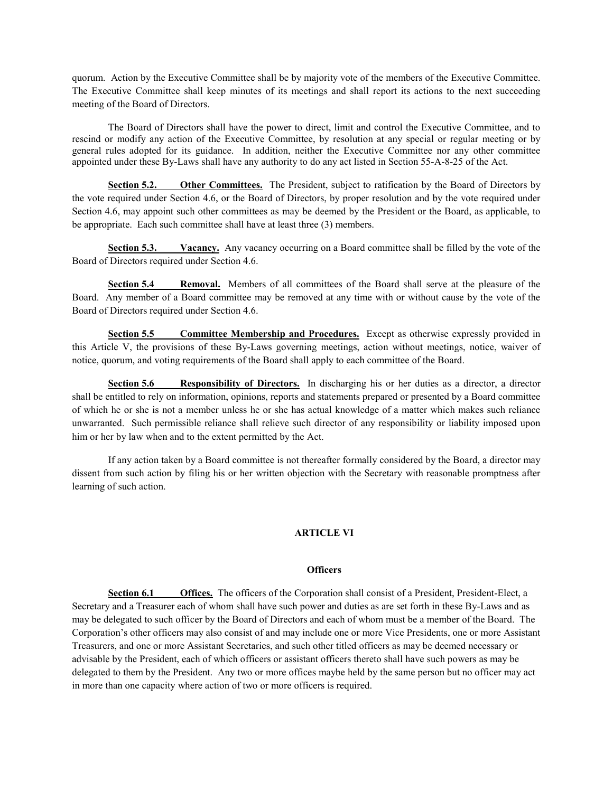quorum. Action by the Executive Committee shall be by majority vote of the members of the Executive Committee. The Executive Committee shall keep minutes of its meetings and shall report its actions to the next succeeding meeting of the Board of Directors.

The Board of Directors shall have the power to direct, limit and control the Executive Committee, and to rescind or modify any action of the Executive Committee, by resolution at any special or regular meeting or by general rules adopted for its guidance. In addition, neither the Executive Committee nor any other committee appointed under these By-Laws shall have any authority to do any act listed in Section 55-A-8-25 of the Act.

**Section 5.2. Other Committees.** The President, subject to ratification by the Board of Directors by the vote required under Section 4.6, or the Board of Directors, by proper resolution and by the vote required under Section 4.6, may appoint such other committees as may be deemed by the President or the Board, as applicable, to be appropriate. Each such committee shall have at least three (3) members.

**Section 5.3. Vacancy.** Any vacancy occurring on a Board committee shall be filled by the vote of the Board of Directors required under Section 4.6.

**Section 5.4 Removal.** Members of all committees of the Board shall serve at the pleasure of the Board. Any member of a Board committee may be removed at any time with or without cause by the vote of the Board of Directors required under Section 4.6.

**Section 5.5 Committee Membership and Procedures.** Except as otherwise expressly provided in this Article V, the provisions of these By-Laws governing meetings, action without meetings, notice, waiver of notice, quorum, and voting requirements of the Board shall apply to each committee of the Board.

**Section 5.6 Responsibility of Directors.** In discharging his or her duties as a director, a director shall be entitled to rely on information, opinions, reports and statements prepared or presented by a Board committee of which he or she is not a member unless he or she has actual knowledge of a matter which makes such reliance unwarranted. Such permissible reliance shall relieve such director of any responsibility or liability imposed upon him or her by law when and to the extent permitted by the Act.

If any action taken by a Board committee is not thereafter formally considered by the Board, a director may dissent from such action by filing his or her written objection with the Secretary with reasonable promptness after learning of such action.

# **ARTICLE VI**

# **Officers**

**Section 6.1 Offices.** The officers of the Corporation shall consist of a President, President-Elect, a Secretary and a Treasurer each of whom shall have such power and duties as are set forth in these By-Laws and as may be delegated to such officer by the Board of Directors and each of whom must be a member of the Board. The Corporation's other officers may also consist of and may include one or more Vice Presidents, one or more Assistant Treasurers, and one or more Assistant Secretaries, and such other titled officers as may be deemed necessary or advisable by the President, each of which officers or assistant officers thereto shall have such powers as may be delegated to them by the President. Any two or more offices maybe held by the same person but no officer may act in more than one capacity where action of two or more officers is required.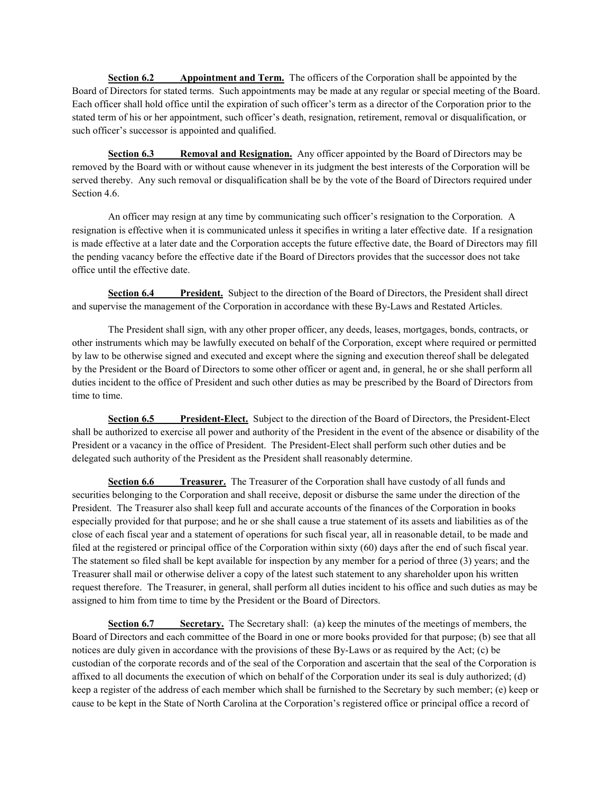**Section 6.2 Appointment and Term.** The officers of the Corporation shall be appointed by the Board of Directors for stated terms. Such appointments may be made at any regular or special meeting of the Board. Each officer shall hold office until the expiration of such officer's term as a director of the Corporation prior to the stated term of his or her appointment, such officer's death, resignation, retirement, removal or disqualification, or such officer's successor is appointed and qualified.

**Section 6.3 Removal and Resignation.** Any officer appointed by the Board of Directors may be removed by the Board with or without cause whenever in its judgment the best interests of the Corporation will be served thereby. Any such removal or disqualification shall be by the vote of the Board of Directors required under Section 4.6.

An officer may resign at any time by communicating such officer's resignation to the Corporation. A resignation is effective when it is communicated unless it specifies in writing a later effective date. If a resignation is made effective at a later date and the Corporation accepts the future effective date, the Board of Directors may fill the pending vacancy before the effective date if the Board of Directors provides that the successor does not take office until the effective date.

**Section 6.4 President.** Subject to the direction of the Board of Directors, the President shall direct and supervise the management of the Corporation in accordance with these By-Laws and Restated Articles.

The President shall sign, with any other proper officer, any deeds, leases, mortgages, bonds, contracts, or other instruments which may be lawfully executed on behalf of the Corporation, except where required or permitted by law to be otherwise signed and executed and except where the signing and execution thereof shall be delegated by the President or the Board of Directors to some other officer or agent and, in general, he or she shall perform all duties incident to the office of President and such other duties as may be prescribed by the Board of Directors from time to time.

**Section 6.5 President-Elect.** Subject to the direction of the Board of Directors, the President-Elect shall be authorized to exercise all power and authority of the President in the event of the absence or disability of the President or a vacancy in the office of President. The President-Elect shall perform such other duties and be delegated such authority of the President as the President shall reasonably determine.

**Section 6.6 Treasurer.** The Treasurer of the Corporation shall have custody of all funds and securities belonging to the Corporation and shall receive, deposit or disburse the same under the direction of the President. The Treasurer also shall keep full and accurate accounts of the finances of the Corporation in books especially provided for that purpose; and he or she shall cause a true statement of its assets and liabilities as of the close of each fiscal year and a statement of operations for such fiscal year, all in reasonable detail, to be made and filed at the registered or principal office of the Corporation within sixty (60) days after the end of such fiscal year. The statement so filed shall be kept available for inspection by any member for a period of three (3) years; and the Treasurer shall mail or otherwise deliver a copy of the latest such statement to any shareholder upon his written request therefore. The Treasurer, in general, shall perform all duties incident to his office and such duties as may be assigned to him from time to time by the President or the Board of Directors.

**Section 6.7 Secretary.** The Secretary shall: (a) keep the minutes of the meetings of members, the Board of Directors and each committee of the Board in one or more books provided for that purpose; (b) see that all notices are duly given in accordance with the provisions of these By-Laws or as required by the Act; (c) be custodian of the corporate records and of the seal of the Corporation and ascertain that the seal of the Corporation is affixed to all documents the execution of which on behalf of the Corporation under its seal is duly authorized; (d) keep a register of the address of each member which shall be furnished to the Secretary by such member; (e) keep or cause to be kept in the State of North Carolina at the Corporation's registered office or principal office a record of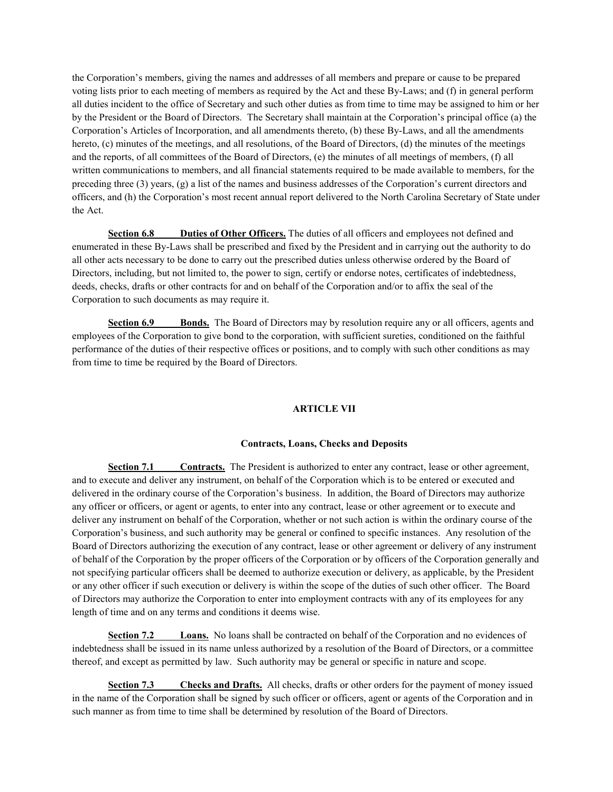the Corporation's members, giving the names and addresses of all members and prepare or cause to be prepared voting lists prior to each meeting of members as required by the Act and these By-Laws; and (f) in general perform all duties incident to the office of Secretary and such other duties as from time to time may be assigned to him or her by the President or the Board of Directors. The Secretary shall maintain at the Corporation's principal office (a) the Corporation's Articles of Incorporation, and all amendments thereto, (b) these By-Laws, and all the amendments hereto, (c) minutes of the meetings, and all resolutions, of the Board of Directors, (d) the minutes of the meetings and the reports, of all committees of the Board of Directors, (e) the minutes of all meetings of members, (f) all written communications to members, and all financial statements required to be made available to members, for the preceding three  $(3)$  years,  $(g)$  a list of the names and business addresses of the Corporation's current directors and officers, and (h) the Corporation's most recent annual report delivered to the North Carolina Secretary of State under the Act.

**Section 6.8 Duties of Other Officers.** The duties of all officers and employees not defined and enumerated in these By-Laws shall be prescribed and fixed by the President and in carrying out the authority to do all other acts necessary to be done to carry out the prescribed duties unless otherwise ordered by the Board of Directors, including, but not limited to, the power to sign, certify or endorse notes, certificates of indebtedness, deeds, checks, drafts or other contracts for and on behalf of the Corporation and/or to affix the seal of the Corporation to such documents as may require it.

**Section 6.9 Bonds.** The Board of Directors may by resolution require any or all officers, agents and employees of the Corporation to give bond to the corporation, with sufficient sureties, conditioned on the faithful performance of the duties of their respective offices or positions, and to comply with such other conditions as may from time to time be required by the Board of Directors.

# **ARTICLE VII**

### **Contracts, Loans, Checks and Deposits**

**Section 7.1 Contracts.** The President is authorized to enter any contract, lease or other agreement, and to execute and deliver any instrument, on behalf of the Corporation which is to be entered or executed and delivered in the ordinary course of the Corporation's business. In addition, the Board of Directors may authorize any officer or officers, or agent or agents, to enter into any contract, lease or other agreement or to execute and deliver any instrument on behalf of the Corporation, whether or not such action is within the ordinary course of the Corporation's business, and such authority may be general or confined to specific instances. Any resolution of the Board of Directors authorizing the execution of any contract, lease or other agreement or delivery of any instrument of behalf of the Corporation by the proper officers of the Corporation or by officers of the Corporation generally and not specifying particular officers shall be deemed to authorize execution or delivery, as applicable, by the President or any other officer if such execution or delivery is within the scope of the duties of such other officer. The Board of Directors may authorize the Corporation to enter into employment contracts with any of its employees for any length of time and on any terms and conditions it deems wise.

**Section 7.2 Loans.** No loans shall be contracted on behalf of the Corporation and no evidences of indebtedness shall be issued in its name unless authorized by a resolution of the Board of Directors, or a committee thereof, and except as permitted by law. Such authority may be general or specific in nature and scope.

**Section 7.3 Checks and Drafts.** All checks, drafts or other orders for the payment of money issued in the name of the Corporation shall be signed by such officer or officers, agent or agents of the Corporation and in such manner as from time to time shall be determined by resolution of the Board of Directors.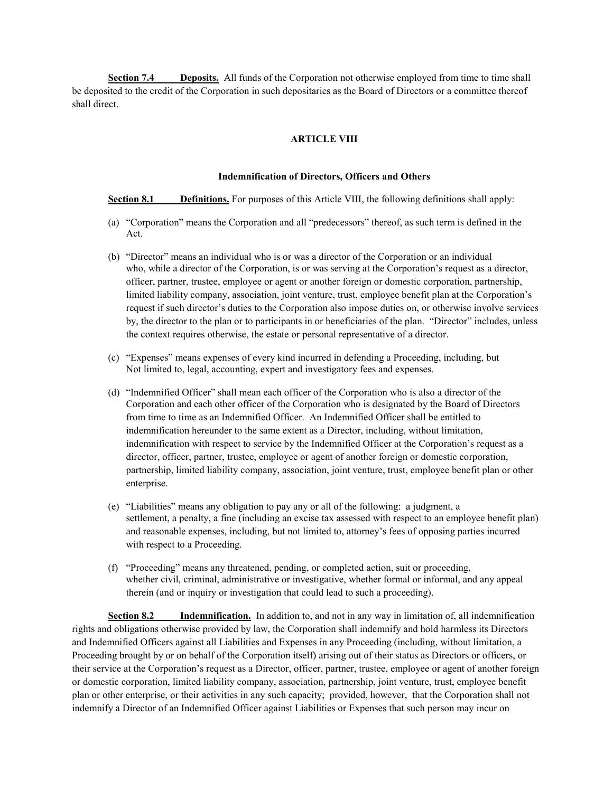**Section 7.4 Deposits.** All funds of the Corporation not otherwise employed from time to time shall be deposited to the credit of the Corporation in such depositaries as the Board of Directors or a committee thereof shall direct.

## **ARTICLE VIII**

### **Indemnification of Directors, Officers and Others**

**Section 8.1 Definitions.** For purposes of this Article VIII, the following definitions shall apply:

- (a) "Corporation" means the Corporation and all "predecessors" thereof, as such term is defined in the Act.
- (b) "Director" means an individual who is or was a director of the Corporation or an individual who, while a director of the Corporation, is or was serving at the Corporation's request as a director, officer, partner, trustee, employee or agent or another foreign or domestic corporation, partnership, limited liability company, association, joint venture, trust, employee benefit plan at the Corporation's request if such director's duties to the Corporation also impose duties on, or otherwise involve services by, the director to the plan or to participants in or beneficiaries of the plan. "Director" includes, unless the context requires otherwise, the estate or personal representative of a director.
- (c) "Expenses" means expenses of every kind incurred in defending a Proceeding, including, but Not limited to, legal, accounting, expert and investigatory fees and expenses.
- (d) "Indemnified Officer" shall mean each officer of the Corporation who is also a director of the Corporation and each other officer of the Corporation who is designated by the Board of Directors from time to time as an Indemnified Officer. An Indemnified Officer shall be entitled to indemnification hereunder to the same extent as a Director, including, without limitation, indemnification with respect to service by the Indemnified Officer at the Corporation's request as a director, officer, partner, trustee, employee or agent of another foreign or domestic corporation, partnership, limited liability company, association, joint venture, trust, employee benefit plan or other enterprise.
- (e) "Liabilities" means any obligation to pay any or all of the following: a judgment, a settlement, a penalty, a fine (including an excise tax assessed with respect to an employee benefit plan) and reasonable expenses, including, but not limited to, attorney's fees of opposing parties incurred with respect to a Proceeding.
- (f) "Proceeding" means any threatened, pending, or completed action, suit or proceeding, whether civil, criminal, administrative or investigative, whether formal or informal, and any appeal therein (and or inquiry or investigation that could lead to such a proceeding).

**Section 8.2 Indemnification.** In addition to, and not in any way in limitation of, all indemnification rights and obligations otherwise provided by law, the Corporation shall indemnify and hold harmless its Directors and Indemnified Officers against all Liabilities and Expenses in any Proceeding (including, without limitation, a Proceeding brought by or on behalf of the Corporation itself) arising out of their status as Directors or officers, or their service at the Corporation's request as a Director, officer, partner, trustee, employee or agent of another foreign or domestic corporation, limited liability company, association, partnership, joint venture, trust, employee benefit plan or other enterprise, or their activities in any such capacity; provided, however, that the Corporation shall not indemnify a Director of an Indemnified Officer against Liabilities or Expenses that such person may incur on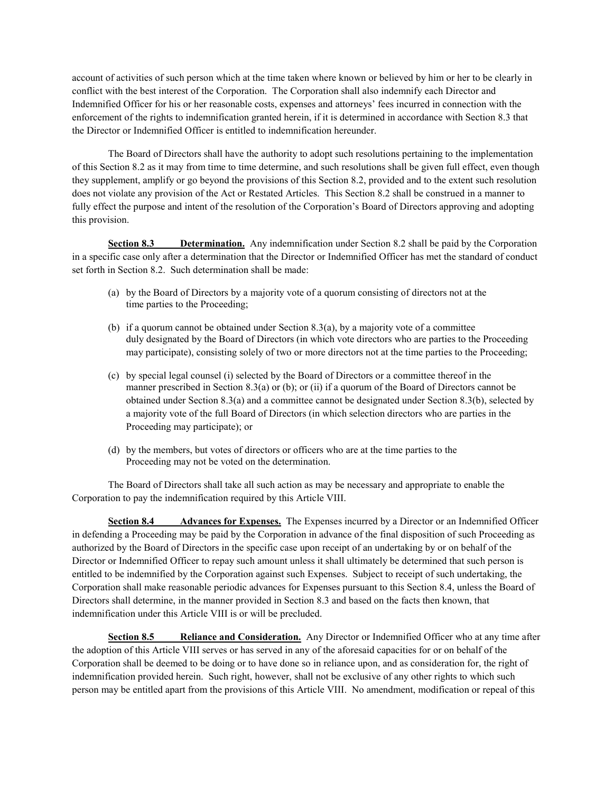account of activities of such person which at the time taken where known or believed by him or her to be clearly in conflict with the best interest of the Corporation. The Corporation shall also indemnify each Director and Indemnified Officer for his or her reasonable costs, expenses and attorneys' fees incurred in connection with the enforcement of the rights to indemnification granted herein, if it is determined in accordance with Section 8.3 that the Director or Indemnified Officer is entitled to indemnification hereunder.

The Board of Directors shall have the authority to adopt such resolutions pertaining to the implementation of this Section 8.2 as it may from time to time determine, and such resolutions shall be given full effect, even though they supplement, amplify or go beyond the provisions of this Section 8.2, provided and to the extent such resolution does not violate any provision of the Act or Restated Articles. This Section 8.2 shall be construed in a manner to fully effect the purpose and intent of the resolution of the Corporation's Board of Directors approving and adopting this provision.

**Section 8.3 Determination.** Any indemnification under Section 8.2 shall be paid by the Corporation in a specific case only after a determination that the Director or Indemnified Officer has met the standard of conduct set forth in Section 8.2. Such determination shall be made:

- (a) by the Board of Directors by a majority vote of a quorum consisting of directors not at the time parties to the Proceeding;
- (b) if a quorum cannot be obtained under Section 8.3(a), by a majority vote of a committee duly designated by the Board of Directors (in which vote directors who are parties to the Proceeding may participate), consisting solely of two or more directors not at the time parties to the Proceeding;
- (c) by special legal counsel (i) selected by the Board of Directors or a committee thereof in the manner prescribed in Section 8.3(a) or (b); or (ii) if a quorum of the Board of Directors cannot be obtained under Section 8.3(a) and a committee cannot be designated under Section 8.3(b), selected by a majority vote of the full Board of Directors (in which selection directors who are parties in the Proceeding may participate); or
- (d) by the members, but votes of directors or officers who are at the time parties to the Proceeding may not be voted on the determination.

The Board of Directors shall take all such action as may be necessary and appropriate to enable the Corporation to pay the indemnification required by this Article VIII.

**Section 8.4 Advances for Expenses.** The Expenses incurred by a Director or an Indemnified Officer in defending a Proceeding may be paid by the Corporation in advance of the final disposition of such Proceeding as authorized by the Board of Directors in the specific case upon receipt of an undertaking by or on behalf of the Director or Indemnified Officer to repay such amount unless it shall ultimately be determined that such person is entitled to be indemnified by the Corporation against such Expenses. Subject to receipt of such undertaking, the Corporation shall make reasonable periodic advances for Expenses pursuant to this Section 8.4, unless the Board of Directors shall determine, in the manner provided in Section 8.3 and based on the facts then known, that indemnification under this Article VIII is or will be precluded.

**Section 8.5 Reliance and Consideration.** Any Director or Indemnified Officer who at any time after the adoption of this Article VIII serves or has served in any of the aforesaid capacities for or on behalf of the Corporation shall be deemed to be doing or to have done so in reliance upon, and as consideration for, the right of indemnification provided herein. Such right, however, shall not be exclusive of any other rights to which such person may be entitled apart from the provisions of this Article VIII. No amendment, modification or repeal of this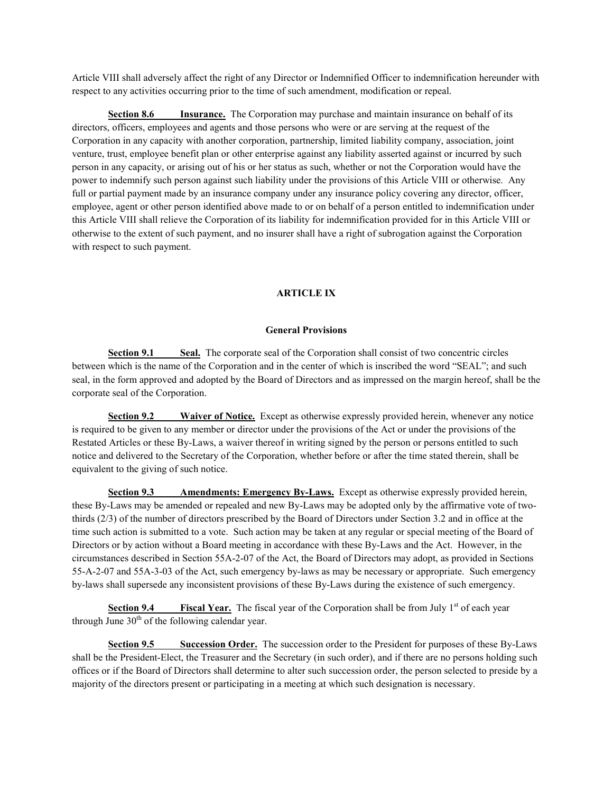Article VIII shall adversely affect the right of any Director or Indemnified Officer to indemnification hereunder with respect to any activities occurring prior to the time of such amendment, modification or repeal.

**Section 8.6 Insurance.** The Corporation may purchase and maintain insurance on behalf of its directors, officers, employees and agents and those persons who were or are serving at the request of the Corporation in any capacity with another corporation, partnership, limited liability company, association, joint venture, trust, employee benefit plan or other enterprise against any liability asserted against or incurred by such person in any capacity, or arising out of his or her status as such, whether or not the Corporation would have the power to indemnify such person against such liability under the provisions of this Article VIII or otherwise. Any full or partial payment made by an insurance company under any insurance policy covering any director, officer, employee, agent or other person identified above made to or on behalf of a person entitled to indemnification under this Article VIII shall relieve the Corporation of its liability for indemnification provided for in this Article VIII or otherwise to the extent of such payment, and no insurer shall have a right of subrogation against the Corporation with respect to such payment.

# **ARTICLE IX**

# **General Provisions**

**Section 9.1 Seal.** The corporate seal of the Corporation shall consist of two concentric circles between which is the name of the Corporation and in the center of which is inscribed the word "SEAL"; and such seal, in the form approved and adopted by the Board of Directors and as impressed on the margin hereof, shall be the corporate seal of the Corporation.

**Section 9.2 Waiver of Notice.** Except as otherwise expressly provided herein, whenever any notice is required to be given to any member or director under the provisions of the Act or under the provisions of the Restated Articles or these By-Laws, a waiver thereof in writing signed by the person or persons entitled to such notice and delivered to the Secretary of the Corporation, whether before or after the time stated therein, shall be equivalent to the giving of such notice.

**Section 9.3 Amendments: Emergency By-Laws.** Except as otherwise expressly provided herein, these By-Laws may be amended or repealed and new By-Laws may be adopted only by the affirmative vote of twothirds (2/3) of the number of directors prescribed by the Board of Directors under Section 3.2 and in office at the time such action is submitted to a vote. Such action may be taken at any regular or special meeting of the Board of Directors or by action without a Board meeting in accordance with these By-Laws and the Act. However, in the circumstances described in Section 55A-2-07 of the Act, the Board of Directors may adopt, as provided in Sections 55-A-2-07 and 55A-3-03 of the Act, such emergency by-laws as may be necessary or appropriate. Such emergency by-laws shall supersede any inconsistent provisions of these By-Laws during the existence of such emergency.

**Section 9.4 Fiscal Year.** The fiscal year of the Corporation shall be from July 1<sup>st</sup> of each year through June  $30<sup>th</sup>$  of the following calendar year.

**Section 9.5 Succession Order.** The succession order to the President for purposes of these By-Laws shall be the President-Elect, the Treasurer and the Secretary (in such order), and if there are no persons holding such offices or if the Board of Directors shall determine to alter such succession order, the person selected to preside by a majority of the directors present or participating in a meeting at which such designation is necessary.